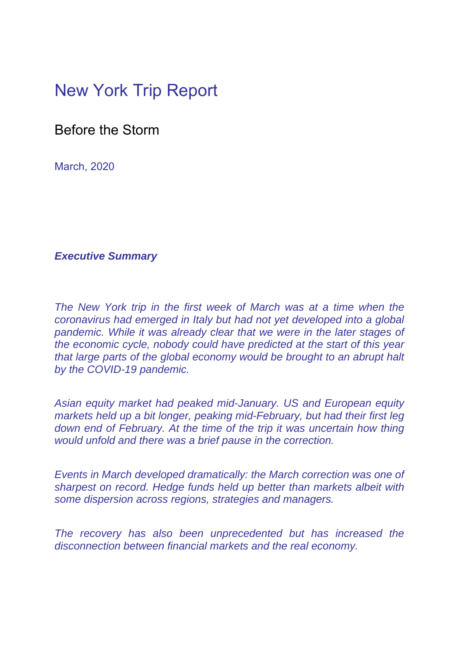## New York Trip Report

Before the Storm

March, 2020

## *Executive Summary*

*The New York trip in the first week of March was at a time when the coronavirus had emerged in Italy but had not yet developed into a global pandemic. While it was already clear that we were in the later stages of the economic cycle, nobody could have predicted at the start of this year that large parts of the global economy would be brought to an abrupt halt by the COVID-19 pandemic.* 

*Asian equity market had peaked mid-January. US and European equity markets held up a bit longer, peaking mid-February, but had their first leg down end of February. At the time of the trip it was uncertain how thing would unfold and there was a brief pause in the correction.* 

*Events in March developed dramatically: the March correction was one of sharpest on record. Hedge funds held up better than markets albeit with some dispersion across regions, strategies and managers.* 

*The recovery has also been unprecedented but has increased the disconnection between financial markets and the real economy.*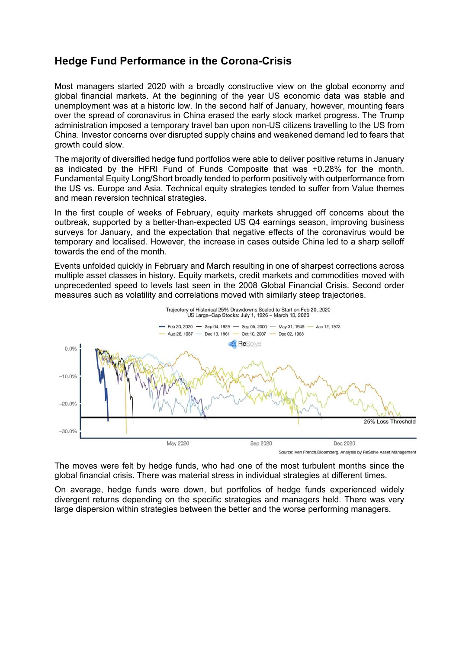## **Hedge Fund Performance in the Corona-Crisis**

Most managers started 2020 with a broadly constructive view on the global economy and global financial markets. At the beginning of the year US economic data was stable and unemployment was at a historic low. In the second half of January, however, mounting fears over the spread of coronavirus in China erased the early stock market progress. The Trump administration imposed a temporary travel ban upon non-US citizens travelling to the US from China. Investor concerns over disrupted supply chains and weakened demand led to fears that growth could slow.

The majority of diversified hedge fund portfolios were able to deliver positive returns in January as indicated by the HFRI Fund of Funds Composite that was +0.28% for the month. Fundamental Equity Long/Short broadly tended to perform positively with outperformance from the US vs. Europe and Asia. Technical equity strategies tended to suffer from Value themes and mean reversion technical strategies.

In the first couple of weeks of February, equity markets shrugged off concerns about the outbreak, supported by a better-than-expected US Q4 earnings season, improving business surveys for January, and the expectation that negative effects of the coronavirus would be temporary and localised. However, the increase in cases outside China led to a sharp selloff towards the end of the month.

Events unfolded quickly in February and March resulting in one of sharpest corrections across multiple asset classes in history. Equity markets, credit markets and commodities moved with unprecedented speed to levels last seen in the 2008 Global Financial Crisis. Second order measures such as volatility and correlations moved with similarly steep trajectories.



The moves were felt by hedge funds, who had one of the most turbulent months since the global financial crisis. There was material stress in individual strategies at different times.

On average, hedge funds were down, but portfolios of hedge funds experienced widely divergent returns depending on the specific strategies and managers held. There was very large dispersion within strategies between the better and the worse performing managers.